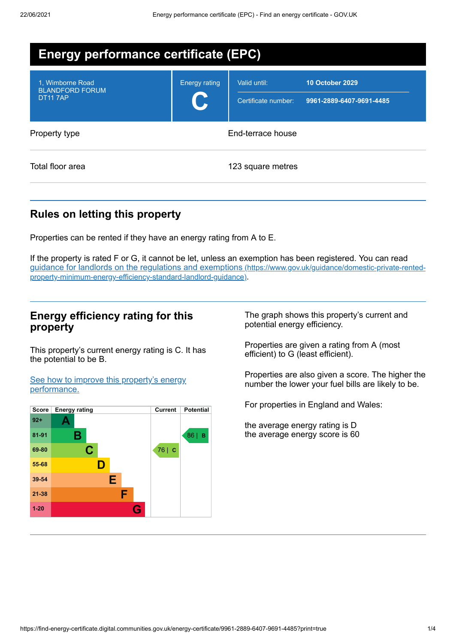| <b>Energy performance certificate (EPC)</b>                  |                      |                                     |                                                    |  |
|--------------------------------------------------------------|----------------------|-------------------------------------|----------------------------------------------------|--|
| 1. Wimborne Road<br><b>BLANDFORD FORUM</b><br><b>DT117AP</b> | <b>Energy rating</b> | Valid until:<br>Certificate number: | <b>10 October 2029</b><br>9961-2889-6407-9691-4485 |  |
| Property type                                                | End-terrace house    |                                     |                                                    |  |
| Total floor area                                             | 123 square metres    |                                     |                                                    |  |

# **Rules on letting this property**

Properties can be rented if they have an energy rating from A to E.

If the property is rated F or G, it cannot be let, unless an exemption has been registered. You can read guidance for landlords on the regulations and exemptions (https://www.gov.uk/guidance/domestic-private-rented[property-minimum-energy-efficiency-standard-landlord-guidance\)](https://www.gov.uk/guidance/domestic-private-rented-property-minimum-energy-efficiency-standard-landlord-guidance).

### **Energy efficiency rating for this property**

This property's current energy rating is C. It has the potential to be B.

See how to improve this property's energy [performance.](#page-1-0)



The graph shows this property's current and potential energy efficiency.

Properties are given a rating from A (most efficient) to G (least efficient).

Properties are also given a score. The higher the number the lower your fuel bills are likely to be.

For properties in England and Wales:

the average energy rating is D the average energy score is 60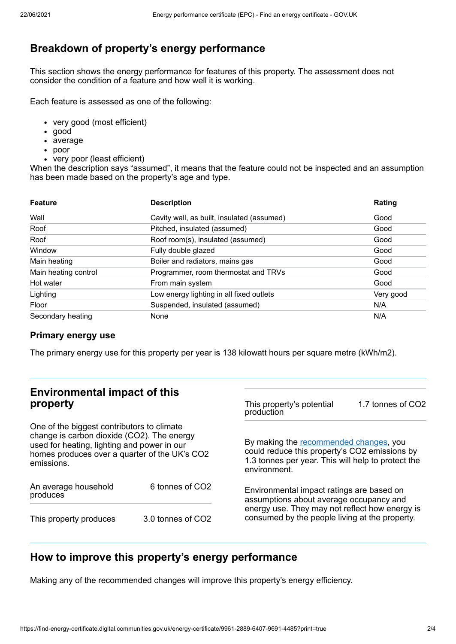# **Breakdown of property's energy performance**

This section shows the energy performance for features of this property. The assessment does not consider the condition of a feature and how well it is working.

Each feature is assessed as one of the following:

- very good (most efficient)
- good
- average
- poor
- very poor (least efficient)

When the description says "assumed", it means that the feature could not be inspected and an assumption has been made based on the property's age and type.

| <b>Feature</b>       | <b>Description</b>                         | Rating    |
|----------------------|--------------------------------------------|-----------|
| Wall                 | Cavity wall, as built, insulated (assumed) | Good      |
| Roof                 | Pitched, insulated (assumed)               | Good      |
| Roof                 | Roof room(s), insulated (assumed)          | Good      |
| Window               | Fully double glazed                        | Good      |
| Main heating         | Boiler and radiators, mains gas            | Good      |
| Main heating control | Programmer, room thermostat and TRVs       | Good      |
| Hot water            | From main system                           | Good      |
| Lighting             | Low energy lighting in all fixed outlets   | Very good |
| Floor                | Suspended, insulated (assumed)             | N/A       |
| Secondary heating    | None                                       | N/A       |

#### **Primary energy use**

The primary energy use for this property per year is 138 kilowatt hours per square metre (kWh/m2).

## **Environmental impact of this property**

One of the biggest contributors to climate change is carbon dioxide (CO2). The energy used for heating, lighting and power in our homes produces over a quarter of the UK's CO2 emissions.

| An average household<br>produces | 6 tonnes of CO2   |  |
|----------------------------------|-------------------|--|
| This property produces           | 3.0 tonnes of CO2 |  |

This property's potential production 1.7 tonnes of CO2

By making the [recommended](#page-1-0) changes, you could reduce this property's CO2 emissions by 1.3 tonnes per year. This will help to protect the environment.

Environmental impact ratings are based on assumptions about average occupancy and energy use. They may not reflect how energy is consumed by the people living at the property.

# <span id="page-1-0"></span>**How to improve this property's energy performance**

Making any of the recommended changes will improve this property's energy efficiency.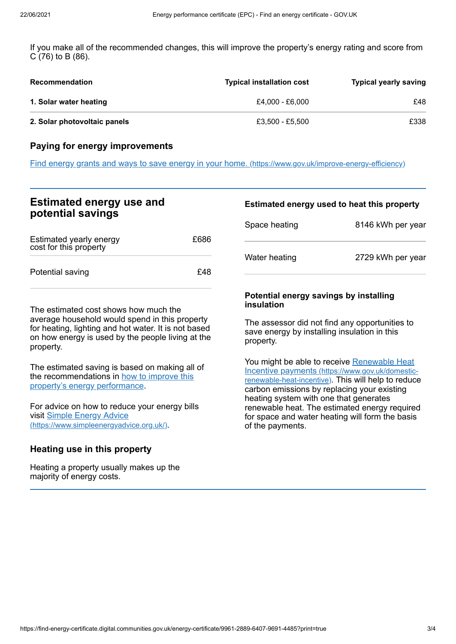If you make all of the recommended changes, this will improve the property's energy rating and score from C (76) to B (86).

| <b>Recommendation</b>        | <b>Typical installation cost</b> | <b>Typical yearly saving</b> |
|------------------------------|----------------------------------|------------------------------|
| 1. Solar water heating       | £4.000 - £6.000                  | £48                          |
| 2. Solar photovoltaic panels | £3.500 - £5.500                  | £338                         |

### **Paying for energy improvements**

Find energy grants and ways to save energy in your home. [\(https://www.gov.uk/improve-energy-efficiency\)](https://www.gov.uk/improve-energy-efficiency)

## **Estimated energy use and potential savings**

| Estimated yearly energy<br>cost for this property | £686 |
|---------------------------------------------------|------|
| Potential saving                                  | £48  |

The estimated cost shows how much the average household would spend in this property for heating, lighting and hot water. It is not based on how energy is used by the people living at the property.

The estimated saving is based on making all of the [recommendations](#page-1-0) in how to improve this property's energy performance.

For advice on how to reduce your energy bills visit Simple Energy Advice [\(https://www.simpleenergyadvice.org.uk/\)](https://www.simpleenergyadvice.org.uk/).

### **Heating use in this property**

Heating a property usually makes up the majority of energy costs.

### **Estimated energy used to heat this property**

| Space heating | 8146 kWh per year |
|---------------|-------------------|
| Water heating | 2729 kWh per year |

#### **Potential energy savings by installing insulation**

The assessor did not find any opportunities to save energy by installing insulation in this property.

You might be able to receive Renewable Heat Incentive payments [\(https://www.gov.uk/domestic](https://www.gov.uk/domestic-renewable-heat-incentive)renewable-heat-incentive). This will help to reduce carbon emissions by replacing your existing heating system with one that generates renewable heat. The estimated energy required for space and water heating will form the basis of the payments.